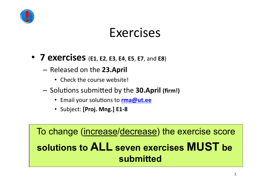

- **7"exercises"**(**E1**,(**E2**,(**E3**,(**E4**,(**E5**,(**E7**,(and(**E8**)
	- $-$  Released on the 23.April
		- $\cdot$  Check the course website!
	- $-$  Solutions submitted by the **30.April (firm!)** 
		- Email your solutions to **rma@ut.ee**
		- Subject: [Proj. Mng.] E1-8

To change (increase/decrease) the exercise score **solutions to ALL seven exercises MUST be submitted**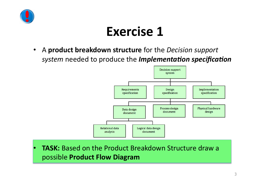

• A **product breakdown structure** for the *Decision support system* needed to produce the *Implementation specification* 



• **TASK:** Based on the Product Breakdown Structure draw a possible(**Product"Flow"Diagram"**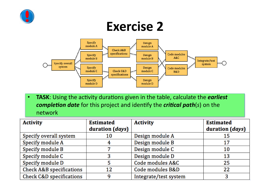



• **TASK**: Using the activity durations given in the table, calculate the *earliest completion date* for this project and identify the *critical path(s)* on the network

| <b>Activity</b>          | <b>Estimated</b><br>duration (days) | <b>Activity</b>       | <b>Estimated</b><br>duration ( <i>days</i> ) |
|--------------------------|-------------------------------------|-----------------------|----------------------------------------------|
| Specify overall system   | 10                                  | Design module A       | 15                                           |
| Specify module A         |                                     | Design module B       | 17                                           |
| Specify module B         |                                     | Design module C       | 10                                           |
| Specify module C         | 3                                   | Design module D       | 13                                           |
| Specify module D         |                                     | Code modules A&C      | 25                                           |
| Check A&B specifications | 12                                  | Code modules B&D      | 22                                           |
| Check C&D specifications | a                                   | Integrate/test system |                                              |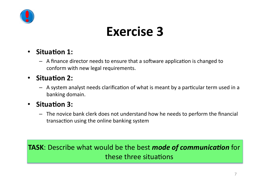

- Situation 1:
	- A finance director needs to ensure that a software application is changed to conform with new legal requirements.

#### • Situation 2:

 $-$  A system analyst needs clarification of what is meant by a particular term used in a banking domain.

#### • Situation 3:

 $-$  The novice bank clerk does not understand how he needs to perform the financial transaction using the online banking system

**TASK:** Describe what would be the best *mode of communication* for these three situations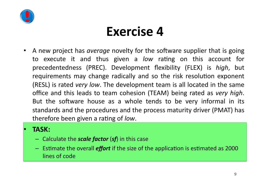

A new project has *average* novelty for the software supplier that is going to execute it and thus given a *low* rating on this account for precedentedness (PREC). Development flexibility (FLEX) is *high*, but requirements may change radically and so the risk resolution exponent (RESL) is rated *very low*. The development team is all located in the same office and this leads to team cohesion (TEAM) being rated as *very high*. But the software house as a whole tends to be very informal in its standards and the procedures and the process maturity driver (PMAT) has therefore been given a rating of *low*.

#### • **TASK:"**

- $-$  Calculate the *scale factor* (*sf*) in this case
- $-$  Estimate the overall *effort* if the size of the application is estimated as 2000 lines of code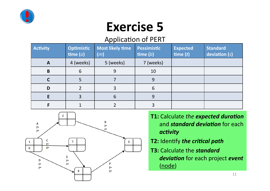

#### Application of PERT

| <b>Activity</b> | <b>Optimistic</b><br>time $(a)$ | <b>Most likely time</b><br>(m) | Pessimistic<br>time $(b)$ | <b>Expected</b><br>time $(t)$ | <b>Standard</b><br>deviation (s) |
|-----------------|---------------------------------|--------------------------------|---------------------------|-------------------------------|----------------------------------|
| A               | 4 (weeks)                       | 5 (weeks)                      | 7 (weeks)                 |                               |                                  |
| B               | 6                               | 9                              | 10                        |                               |                                  |
|                 |                                 |                                | 9                         |                               |                                  |
| D               |                                 | 3                              | 6                         |                               |                                  |
|                 |                                 | 6                              | 9                         |                               |                                  |
|                 |                                 |                                |                           |                               |                                  |



- **T1:** Calculate the expected duration and **standard deviation** for each activity
- **T2: Identify the critical path**
- **T3: Calculate the standard** deviation for each project event (node)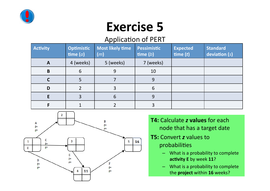

#### Application of PERT

| <b>Activity</b> | <b>Optimistic</b><br>time $(a)$ | <b>Most likely time</b><br>(m) | Pessimistic<br>$\mathsf{time}\left(b\right)$ | <b>Expected</b><br>time $(t)$ | <b>Standard</b><br>deviation (s) |
|-----------------|---------------------------------|--------------------------------|----------------------------------------------|-------------------------------|----------------------------------|
| A               | 4 (weeks)                       | 5 (weeks)                      | 7 (weeks)                                    |                               |                                  |
| B               | 6                               | 9                              | 10                                           |                               |                                  |
|                 |                                 |                                | 9                                            |                               |                                  |
| D               |                                 | 3                              | 6                                            |                               |                                  |
|                 |                                 | 6                              | 9                                            |                               |                                  |
|                 |                                 |                                |                                              |                               |                                  |



- **T4:** Calculate *z* **values** for each node that has a target date
- **T5: Convert** *z* **values to** probabilities
	- $-$  What is a probability to complete activity E by week 11?
	- $-$  What is a probability to complete the **project** within 16 weeks?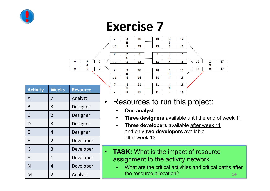



| <b>Activity</b> | <b>Weeks</b>   | <b>Resource</b> |
|-----------------|----------------|-----------------|
| A               | 7              | Analyst         |
| B               | 3              | Designer        |
| C               | $\overline{2}$ | Designer        |
| D               | 3              | Designer        |
| E               | 4              | Designer        |
| F               | $\overline{2}$ | Developer       |
| G               | 3              | Developer       |
| H               | $\mathbf 1$    | Developer       |
| N               | 4              | Developer       |
| M               | $\overline{2}$ | Analyst         |

#### • Resources to run this project:

- **One analyst**
- **Three designers** available until the end of week 11
- **Three developers** available after week 11 and only **two developers** available after week 13
- **TASK:** What is the impact of resource assignment to the activity network
- M  $\vert$  2  $\vert$  Analyst  $\vert$  the resource allocation? • What are the critical activities and critical paths after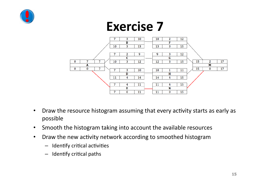



- Draw the resource histogram assuming that every activity starts as early as possible(
- Smooth the histogram taking into account the available resources
- Draw the new activity network according to smoothed histogram
	- $-$  Identify critical activities
	- $-$  Identify critical paths